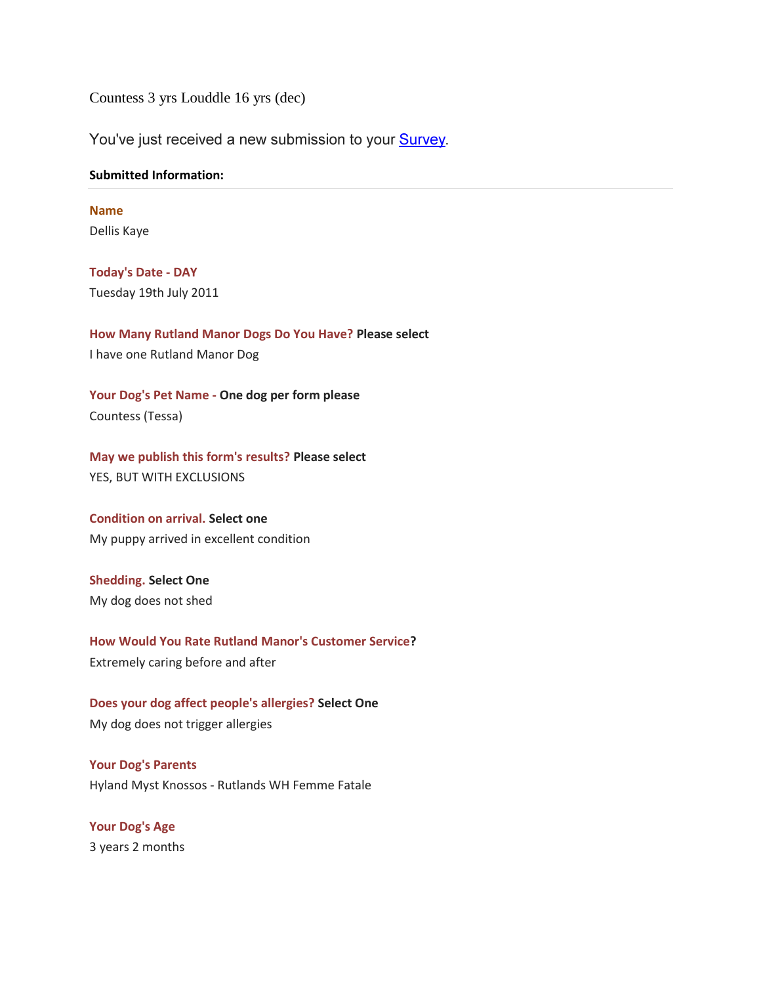Countess 3 yrs Louddle 16 yrs (dec)

You've just received a new submission to your **Survey**.

## **Submitted Information:**

**Name** Dellis Kaye

**Today's Date - DAY** Tuesday 19th July 2011

**How Many Rutland Manor Dogs Do You Have? Please select**  I have one Rutland Manor Dog

**Your Dog's Pet Name - One dog per form please** Countess (Tessa)

**May we publish this form's results? Please select** YES, BUT WITH EXCLUSIONS

**Condition on arrival. Select one** My puppy arrived in excellent condition

**Shedding. Select One** My dog does not shed

**How Would You Rate Rutland Manor's Customer Service?** Extremely caring before and after

**Does your dog affect people's allergies? Select One** My dog does not trigger allergies

**Your Dog's Parents** Hyland Myst Knossos - Rutlands WH Femme Fatale

**Your Dog's Age** 3 years 2 months